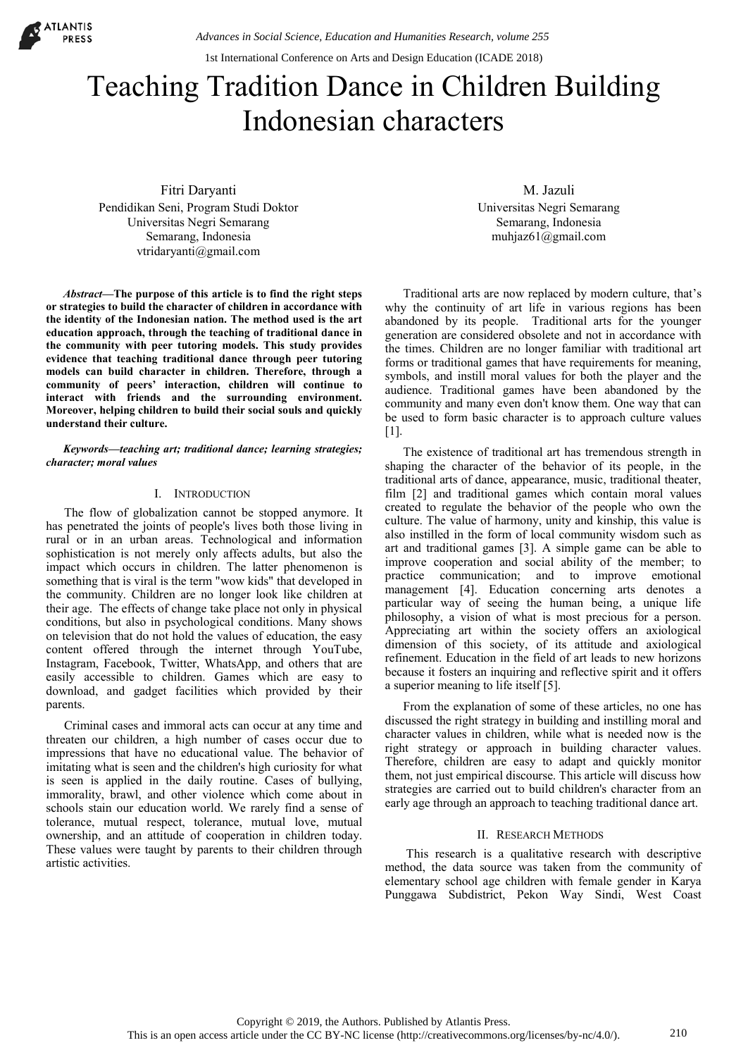

# Teaching Tradition Dance in Children Building Indonesian characters

Fitri Daryanti Pendidikan Seni, Program Studi Doktor Universitas Negri Semarang Semarang, Indonesia vtridaryanti@gmail.com

*Abstract***—The purpose of this article is to find the right steps or strategies to build the character of children in accordance with the identity of the Indonesian nation. The method used is the art education approach, through the teaching of traditional dance in the community with peer tutoring models. This study provides evidence that teaching traditional dance through peer tutoring models can build character in children. Therefore, through a community of peers' interaction, children will continue to interact with friends and the surrounding environment. Moreover, helping children to build their social souls and quickly understand their culture.**

#### *Keywords—teaching art; traditional dance; learning strategies; character; moral values*

# I. INTRODUCTION

The flow of globalization cannot be stopped anymore. It has penetrated the joints of people's lives both those living in rural or in an urban areas. Technological and information sophistication is not merely only affects adults, but also the impact which occurs in children. The latter phenomenon is something that is viral is the term "wow kids" that developed in the community. Children are no longer look like children at their age. The effects of change take place not only in physical conditions, but also in psychological conditions. Many shows on television that do not hold the values of education, the easy content offered through the internet through YouTube, Instagram, Facebook, Twitter, WhatsApp, and others that are easily accessible to children. Games which are easy to download, and gadget facilities which provided by their parents.

Criminal cases and immoral acts can occur at any time and threaten our children, a high number of cases occur due to impressions that have no educational value. The behavior of imitating what is seen and the children's high curiosity for what is seen is applied in the daily routine. Cases of bullying, immorality, brawl, and other violence which come about in schools stain our education world. We rarely find a sense of tolerance, mutual respect, tolerance, mutual love, mutual ownership, and an attitude of cooperation in children today. These values were taught by parents to their children through artistic activities.

M. Jazuli Universitas Negri Semarang Semarang, Indonesia muhjaz61@gmail.com

Traditional arts are now replaced by modern culture, that's why the continuity of art life in various regions has been abandoned by its people. Traditional arts for the younger generation are considered obsolete and not in accordance with the times. Children are no longer familiar with traditional art forms or traditional games that have requirements for meaning, symbols, and instill moral values for both the player and the audience. Traditional games have been abandoned by the community and many even don't know them. One way that can be used to form basic character is to approach culture values [1].

The existence of traditional art has tremendous strength in shaping the character of the behavior of its people, in the traditional arts of dance, appearance, music, traditional theater, film [2] and traditional games which contain moral values created to regulate the behavior of the people who own the culture. The value of harmony, unity and kinship, this value is also instilled in the form of local community wisdom such as art and traditional games [3]. A simple game can be able to improve cooperation and social ability of the member; to practice communication; and to improve emotional management [4]. Education concerning arts denotes a particular way of seeing the human being, a unique life philosophy, a vision of what is most precious for a person. Appreciating art within the society offers an axiological dimension of this society, of its attitude and axiological refinement. Education in the field of art leads to new horizons because it fosters an inquiring and reflective spirit and it offers a superior meaning to life itself [5]. 1st International Conference on Arts and Design Education (ICADE 2018)<br>
Tradition Dance in Children<br>
International Conference on Arts and Design Educations (MCADE 2018)<br>
gram Studi Dektor<br>
gram Studi Dektor<br>
gram Studi De

From the explanation of some of these articles, no one has discussed the right strategy in building and instilling moral and character values in children, while what is needed now is the right strategy or approach in building character values. Therefore, children are easy to adapt and quickly monitor them, not just empirical discourse. This article will discuss how strategies are carried out to build children's character from an early age through an approach to teaching traditional dance art.

# II. RESEARCH METHODS

This research is a qualitative research with descriptive method, the data source was taken from the community of elementary school age children with female gender in Karya Punggawa Subdistrict, Pekon Way Sindi, West Coast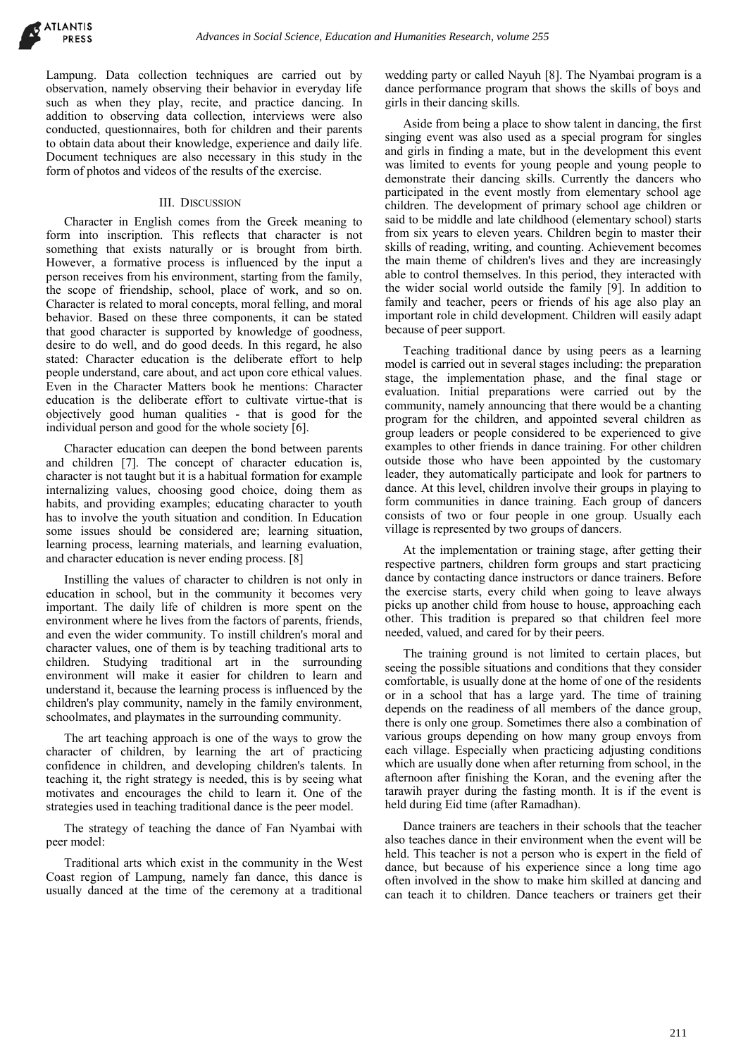

Lampung. Data collection techniques are carried out by observation, namely observing their behavior in everyday life such as when they play, recite, and practice dancing. In addition to observing data collection, interviews were also conducted, questionnaires, both for children and their parents to obtain data about their knowledge, experience and daily life. Document techniques are also necessary in this study in the form of photos and videos of the results of the exercise.

### III. DISCUSSION

Character in English comes from the Greek meaning to form into inscription. This reflects that character is not something that exists naturally or is brought from birth. However, a formative process is influenced by the input a person receives from his environment, starting from the family, the scope of friendship, school, place of work, and so on. Character is related to moral concepts, moral felling, and moral behavior. Based on these three components, it can be stated that good character is supported by knowledge of goodness, desire to do well, and do good deeds. In this regard, he also stated: Character education is the deliberate effort to help people understand, care about, and act upon core ethical values. Even in the Character Matters book he mentions: Character education is the deliberate effort to cultivate virtue-that is objectively good human qualities - that is good for the individual person and good for the whole society [6].

Character education can deepen the bond between parents and children [7]. The concept of character education is, character is not taught but it is a habitual formation for example internalizing values, choosing good choice, doing them as habits, and providing examples; educating character to youth has to involve the youth situation and condition. In Education some issues should be considered are; learning situation, learning process, learning materials, and learning evaluation, and character education is never ending process. [8]

Instilling the values of character to children is not only in education in school, but in the community it becomes very important. The daily life of children is more spent on the environment where he lives from the factors of parents, friends, and even the wider community. To instill children's moral and character values, one of them is by teaching traditional arts to children. Studying traditional art in the surrounding environment will make it easier for children to learn and understand it, because the learning process is influenced by the children's play community, namely in the family environment, schoolmates, and playmates in the surrounding community.

The art teaching approach is one of the ways to grow the character of children, by learning the art of practicing confidence in children, and developing children's talents. In teaching it, the right strategy is needed, this is by seeing what motivates and encourages the child to learn it. One of the strategies used in teaching traditional dance is the peer model.

The strategy of teaching the dance of Fan Nyambai with peer model:

Traditional arts which exist in the community in the West Coast region of Lampung, namely fan dance, this dance is usually danced at the time of the ceremony at a traditional wedding party or called Nayuh [8]. The Nyambai program is a dance performance program that shows the skills of boys and girls in their dancing skills.

Aside from being a place to show talent in dancing, the first singing event was also used as a special program for singles and girls in finding a mate, but in the development this event was limited to events for young people and young people to demonstrate their dancing skills. Currently the dancers who participated in the event mostly from elementary school age children. The development of primary school age children or said to be middle and late childhood (elementary school) starts from six years to eleven years. Children begin to master their skills of reading, writing, and counting. Achievement becomes the main theme of children's lives and they are increasingly able to control themselves. In this period, they interacted with the wider social world outside the family [9]. In addition to family and teacher, peers or friends of his age also play an important role in child development. Children will easily adapt because of peer support.

Teaching traditional dance by using peers as a learning model is carried out in several stages including: the preparation stage, the implementation phase, and the final stage or evaluation. Initial preparations were carried out by the community, namely announcing that there would be a chanting program for the children, and appointed several children as group leaders or people considered to be experienced to give examples to other friends in dance training. For other children outside those who have been appointed by the customary leader, they automatically participate and look for partners to dance. At this level, children involve their groups in playing to form communities in dance training. Each group of dancers consists of two or four people in one group. Usually each village is represented by two groups of dancers.

At the implementation or training stage, after getting their respective partners, children form groups and start practicing dance by contacting dance instructors or dance trainers. Before the exercise starts, every child when going to leave always picks up another child from house to house, approaching each other. This tradition is prepared so that children feel more needed, valued, and cared for by their peers.

The training ground is not limited to certain places, but seeing the possible situations and conditions that they consider comfortable, is usually done at the home of one of the residents or in a school that has a large yard. The time of training depends on the readiness of all members of the dance group, there is only one group. Sometimes there also a combination of various groups depending on how many group envoys from each village. Especially when practicing adjusting conditions which are usually done when after returning from school, in the afternoon after finishing the Koran, and the evening after the tarawih prayer during the fasting month. It is if the event is held during Eid time (after Ramadhan).

Dance trainers are teachers in their schools that the teacher also teaches dance in their environment when the event will be held. This teacher is not a person who is expert in the field of dance, but because of his experience since a long time ago often involved in the show to make him skilled at dancing and can teach it to children. Dance teachers or trainers get their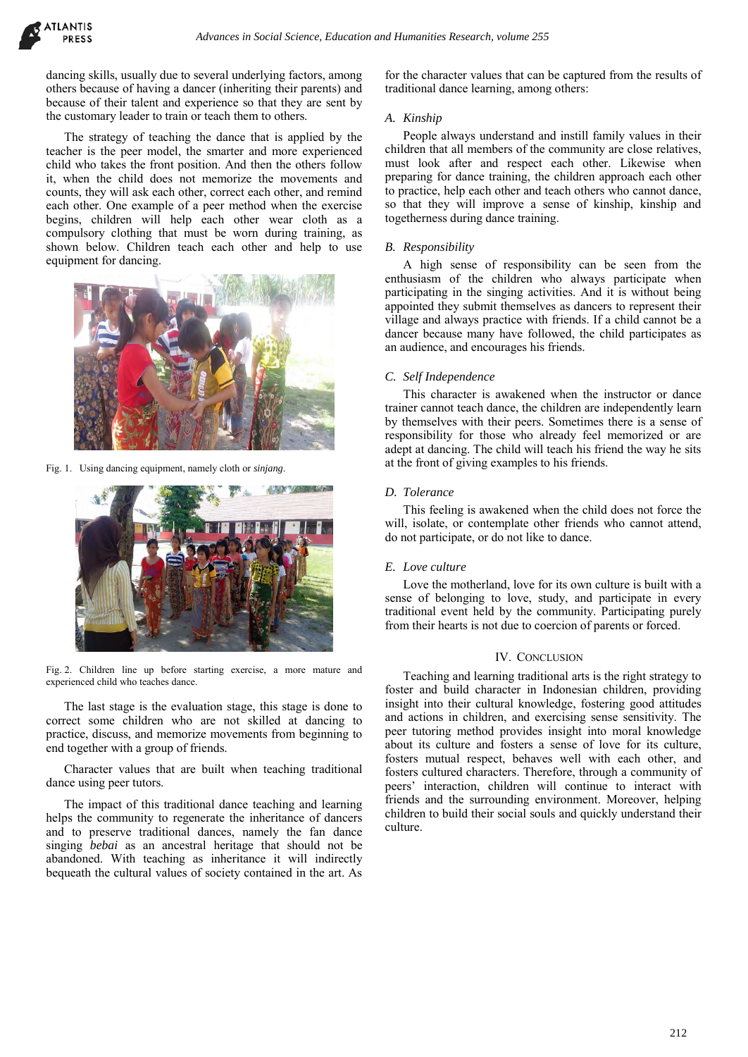dancing skills, usually due to several underlying factors, among others because of having a dancer (inheriting their parents) and because of their talent and experience so that they are sent by the customary leader to train or teach them to others.

The strategy of teaching the dance that is applied by the teacher is the peer model, the smarter and more experienced child who takes the front position. And then the others follow it, when the child does not memorize the movements and counts, they will ask each other, correct each other, and remind each other. One example of a peer method when the exercise begins, children will help each other wear cloth as a compulsory clothing that must be worn during training, as shown below. Children teach each other and help to use equipment for dancing.



Fig. 1. Using dancing equipment, namely cloth or *sinjang*.



Fig. 2. Children line up before starting exercise, a more mature and experienced child who teaches dance.

The last stage is the evaluation stage, this stage is done to correct some children who are not skilled at dancing to practice, discuss, and memorize movements from beginning to end together with a group of friends.

Character values that are built when teaching traditional dance using peer tutors.

The impact of this traditional dance teaching and learning helps the community to regenerate the inheritance of dancers and to preserve traditional dances, namely the fan dance singing *bebai* as an ancestral heritage that should not be abandoned. With teaching as inheritance it will indirectly bequeath the cultural values of society contained in the art. As

for the character values that can be captured from the results of traditional dance learning, among others:

### *A. Kinship*

People always understand and instill family values in their children that all members of the community are close relatives, must look after and respect each other. Likewise when preparing for dance training, the children approach each other to practice, help each other and teach others who cannot dance, so that they will improve a sense of kinship, kinship and togetherness during dance training.

# *B. Responsibility*

A high sense of responsibility can be seen from the enthusiasm of the children who always participate when participating in the singing activities. And it is without being appointed they submit themselves as dancers to represent their village and always practice with friends. If a child cannot be a dancer because many have followed, the child participates as an audience, and encourages his friends.

# *C. Self Independence*

This character is awakened when the instructor or dance trainer cannot teach dance, the children are independently learn by themselves with their peers. Sometimes there is a sense of responsibility for those who already feel memorized or are adept at dancing. The child will teach his friend the way he sits at the front of giving examples to his friends.

#### *D. Tolerance*

This feeling is awakened when the child does not force the will, isolate, or contemplate other friends who cannot attend, do not participate, or do not like to dance.

# *E. Love culture*

Love the motherland, love for its own culture is built with a sense of belonging to love, study, and participate in every traditional event held by the community. Participating purely from their hearts is not due to coercion of parents or forced.

#### IV. CONCLUSION

Teaching and learning traditional arts is the right strategy to foster and build character in Indonesian children, providing insight into their cultural knowledge, fostering good attitudes and actions in children, and exercising sense sensitivity. The peer tutoring method provides insight into moral knowledge about its culture and fosters a sense of love for its culture, fosters mutual respect, behaves well with each other, and fosters cultured characters. Therefore, through a community of peers' interaction, children will continue to interact with friends and the surrounding environment. Moreover, helping children to build their social souls and quickly understand their culture.